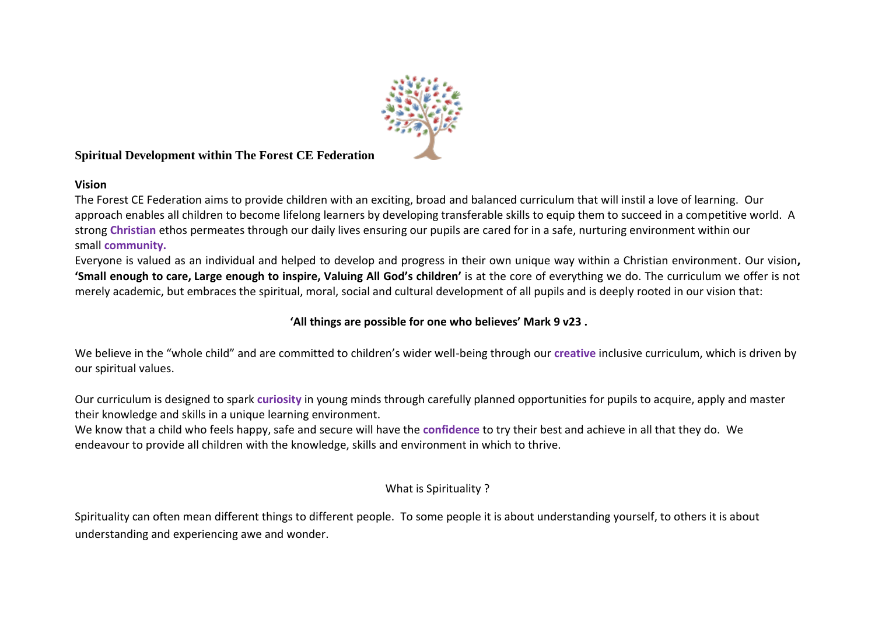

## **Spiritual Development within The Forest CE Federation**

## **Vision**

The Forest CE Federation aims to provide children with an exciting, broad and balanced curriculum that will instil a love of learning. Our approach enables all children to become lifelong learners by developing transferable skills to equip them to succeed in a competitive world. A strong **Christian** ethos permeates through our daily lives ensuring our pupils are cared for in a safe, nurturing environment within our small **community.**

Everyone is valued as an individual and helped to develop and progress in their own unique way within a Christian environment. Our vision**, 'Small enough to care, Large enough to inspire, Valuing All God's children'** is at the core of everything we do. The curriculum we offer is not merely academic, but embraces the spiritual, moral, social and cultural development of all pupils and is deeply rooted in our vision that:

# **'All things are possible for one who believes' Mark 9 v23 .**

We believe in the "whole child" and are committed to children's wider well-being through our **creative** inclusive curriculum, which is driven by our spiritual values.

Our curriculum is designed to spark **curiosity** in young minds through carefully planned opportunities for pupils to acquire, apply and master their knowledge and skills in a unique learning environment.

We know that a child who feels happy, safe and secure will have the **confidence** to try their best and achieve in all that they do. We endeavour to provide all children with the knowledge, skills and environment in which to thrive.

## What is Spirituality ?

Spirituality can often mean different things to different people. To some people it is about understanding yourself, to others it is about understanding and experiencing awe and wonder.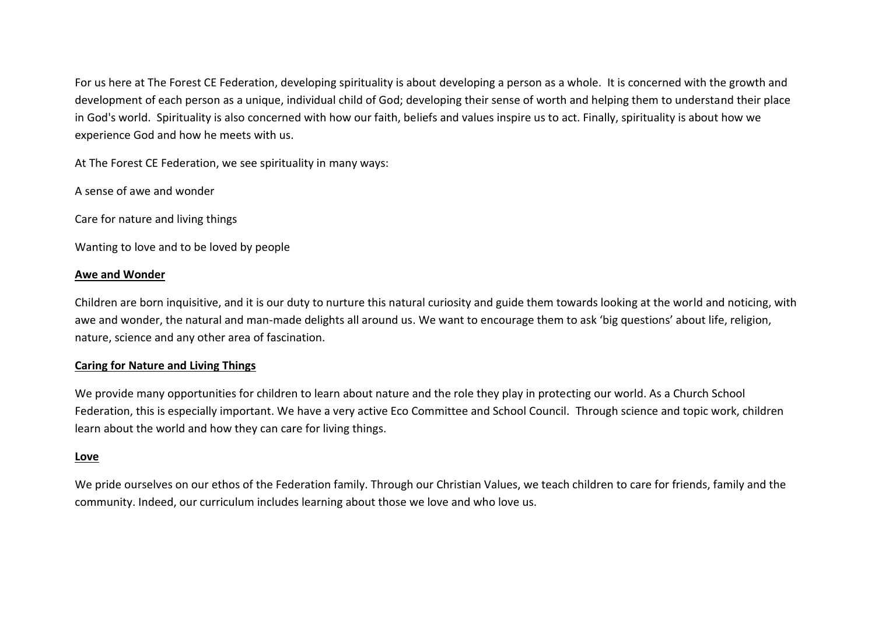For us here at The Forest CE Federation, developing spirituality is about developing a person as a whole. It is concerned with the growth and development of each person as a unique, individual child of God; developing their sense of worth and helping them to understand their place in God's world. Spirituality is also concerned with how our faith, beliefs and values inspire us to act. Finally, spirituality is about how we experience God and how he meets with us.

At The Forest CE Federation, we see spirituality in many ways:

A sense of awe and wonder

Care for nature and living things

Wanting to love and to be loved by people

#### **Awe and Wonder**

Children are born inquisitive, and it is our duty to nurture this natural curiosity and guide them towards looking at the world and noticing, with awe and wonder, the natural and man-made delights all around us. We want to encourage them to ask 'big questions' about life, religion, nature, science and any other area of fascination.

#### **Caring for Nature and Living Things**

We provide many opportunities for children to learn about nature and the role they play in protecting our world. As a Church School Federation, this is especially important. We have a very active Eco Committee and School Council. Through science and topic work, children learn about the world and how they can care for living things.

#### **Love**

We pride ourselves on our ethos of the Federation family. Through our Christian Values, we teach children to care for friends, family and the community. Indeed, our curriculum includes learning about those we love and who love us.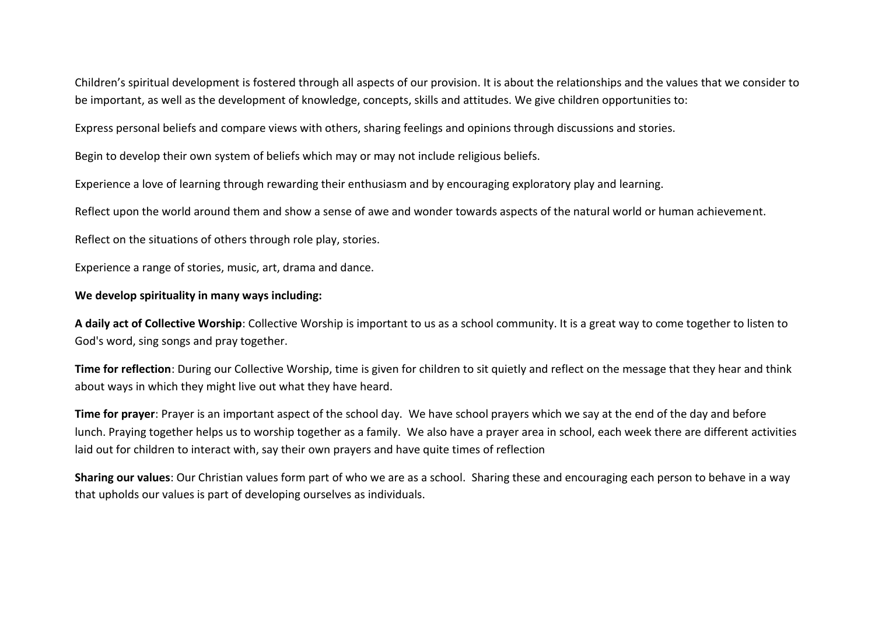Children's spiritual development is fostered through all aspects of our provision. It is about the relationships and the values that we consider to be important, as well as the development of knowledge, concepts, skills and attitudes. We give children opportunities to:

Express personal beliefs and compare views with others, sharing feelings and opinions through discussions and stories.

Begin to develop their own system of beliefs which may or may not include religious beliefs.

Experience a love of learning through rewarding their enthusiasm and by encouraging exploratory play and learning.

Reflect upon the world around them and show a sense of awe and wonder towards aspects of the natural world or human achievement.

Reflect on the situations of others through role play, stories.

Experience a range of stories, music, art, drama and dance.

## **We develop spirituality in many ways including:**

**A daily act of Collective Worship**: Collective Worship is important to us as a school community. It is a great way to come together to listen to God's word, sing songs and pray together.

**Time for reflection**: During our Collective Worship, time is given for children to sit quietly and reflect on the message that they hear and think about ways in which they might live out what they have heard.

**Time for prayer**: Prayer is an important aspect of the school day. We have school prayers which we say at the end of the day and before lunch. Praying together helps us to worship together as a family. We also have a prayer area in school, each week there are different activities laid out for children to interact with, say their own prayers and have quite times of reflection

**Sharing our values**: Our Christian values form part of who we are as a school. Sharing these and encouraging each person to behave in a way that upholds our values is part of developing ourselves as individuals.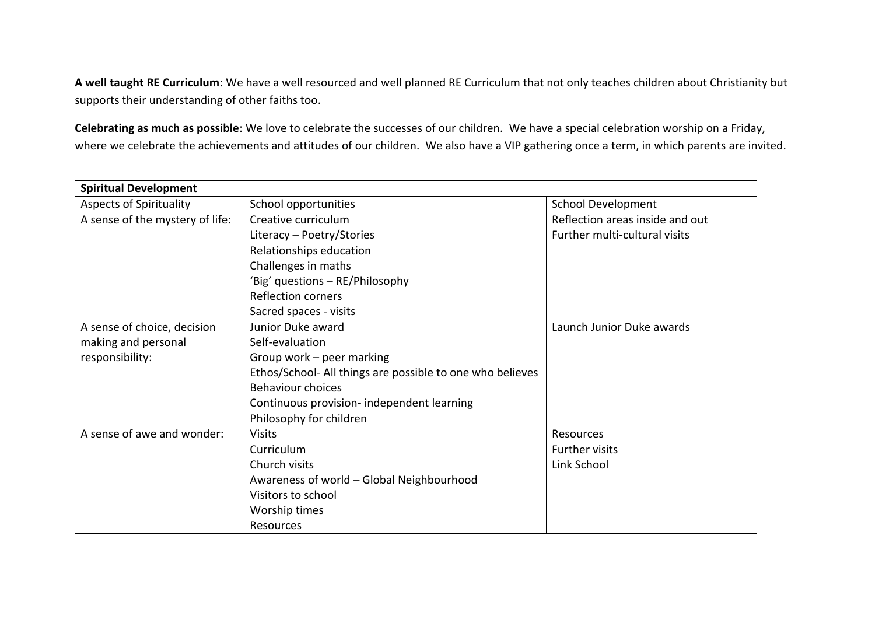**A well taught RE Curriculum**: We have a well resourced and well planned RE Curriculum that not only teaches children about Christianity but supports their understanding of other faiths too.

**Celebrating as much as possible**: We love to celebrate the successes of our children. We have a special celebration worship on a Friday, where we celebrate the achievements and attitudes of our children. We also have a VIP gathering once a term, in which parents are invited.

| <b>Spiritual Development</b>    |                                                           |                                 |  |
|---------------------------------|-----------------------------------------------------------|---------------------------------|--|
| <b>Aspects of Spirituality</b>  | School opportunities                                      | <b>School Development</b>       |  |
| A sense of the mystery of life: | Creative curriculum                                       | Reflection areas inside and out |  |
|                                 | Literacy - Poetry/Stories                                 | Further multi-cultural visits   |  |
|                                 | Relationships education                                   |                                 |  |
|                                 | Challenges in maths                                       |                                 |  |
|                                 | 'Big' questions - RE/Philosophy                           |                                 |  |
|                                 | <b>Reflection corners</b>                                 |                                 |  |
|                                 | Sacred spaces - visits                                    |                                 |  |
| A sense of choice, decision     | Junior Duke award                                         | Launch Junior Duke awards       |  |
| making and personal             | Self-evaluation                                           |                                 |  |
| responsibility:                 | Group work - peer marking                                 |                                 |  |
|                                 | Ethos/School- All things are possible to one who believes |                                 |  |
|                                 | <b>Behaviour choices</b>                                  |                                 |  |
|                                 | Continuous provision- independent learning                |                                 |  |
|                                 | Philosophy for children                                   |                                 |  |
| A sense of awe and wonder:      | <b>Visits</b>                                             | Resources                       |  |
|                                 | Curriculum                                                | <b>Further visits</b>           |  |
|                                 | Church visits                                             | Link School                     |  |
|                                 | Awareness of world - Global Neighbourhood                 |                                 |  |
|                                 | Visitors to school                                        |                                 |  |
|                                 | Worship times                                             |                                 |  |
|                                 | <b>Resources</b>                                          |                                 |  |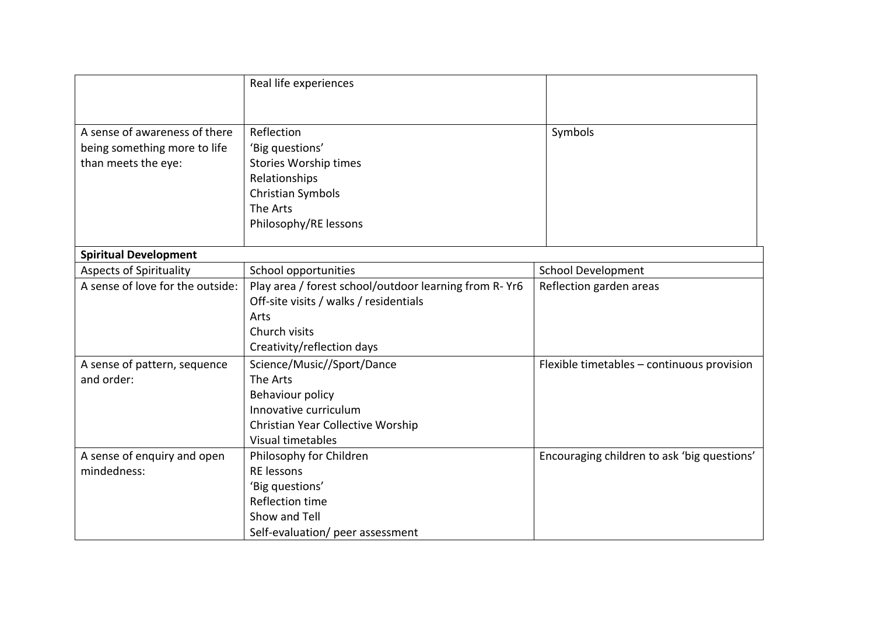|                                  | Real life experiences                                 |                                             |
|----------------------------------|-------------------------------------------------------|---------------------------------------------|
|                                  |                                                       |                                             |
| A sense of awareness of there    | Reflection                                            | Symbols                                     |
| being something more to life     | 'Big questions'                                       |                                             |
| than meets the eye:              | <b>Stories Worship times</b>                          |                                             |
|                                  | Relationships                                         |                                             |
|                                  | Christian Symbols                                     |                                             |
|                                  | The Arts                                              |                                             |
|                                  | Philosophy/RE lessons                                 |                                             |
| <b>Spiritual Development</b>     |                                                       |                                             |
| <b>Aspects of Spirituality</b>   | School opportunities                                  | <b>School Development</b>                   |
| A sense of love for the outside: | Play area / forest school/outdoor learning from R-Yr6 | Reflection garden areas                     |
|                                  | Off-site visits / walks / residentials                |                                             |
|                                  | Arts                                                  |                                             |
|                                  | Church visits                                         |                                             |
|                                  | Creativity/reflection days                            |                                             |
| A sense of pattern, sequence     | Science/Music//Sport/Dance                            | Flexible timetables - continuous provision  |
| and order:                       | The Arts                                              |                                             |
|                                  | Behaviour policy                                      |                                             |
|                                  | Innovative curriculum                                 |                                             |
|                                  | Christian Year Collective Worship                     |                                             |
|                                  | Visual timetables                                     |                                             |
| A sense of enquiry and open      | Philosophy for Children                               | Encouraging children to ask 'big questions' |
| mindedness:                      | RE lessons                                            |                                             |
|                                  | 'Big questions'                                       |                                             |
|                                  | <b>Reflection time</b>                                |                                             |
|                                  | Show and Tell                                         |                                             |
|                                  | Self-evaluation/ peer assessment                      |                                             |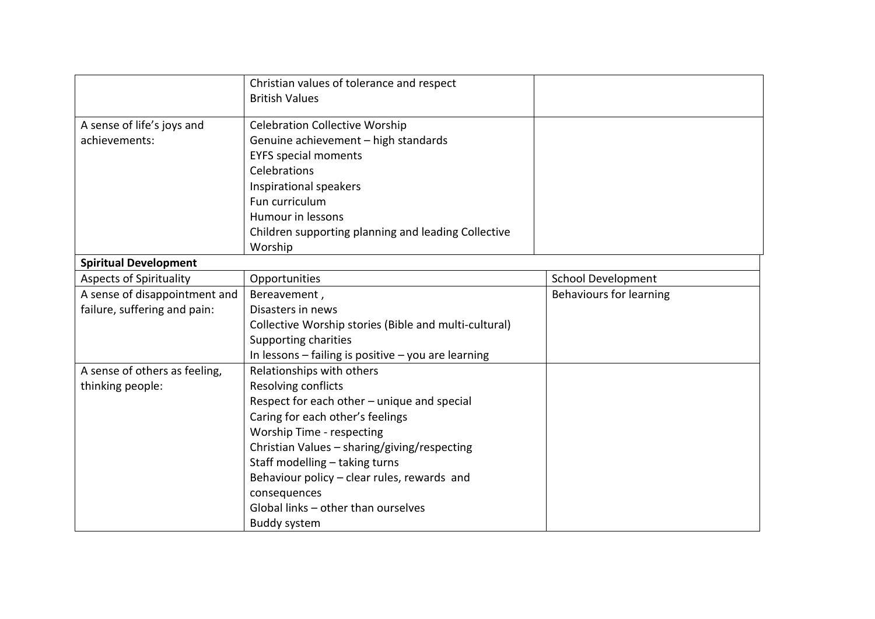|                                | Christian values of tolerance and respect<br><b>British Values</b> |                           |
|--------------------------------|--------------------------------------------------------------------|---------------------------|
| A sense of life's joys and     | <b>Celebration Collective Worship</b>                              |                           |
| achievements:                  | Genuine achievement - high standards                               |                           |
|                                | <b>EYFS special moments</b>                                        |                           |
|                                | Celebrations                                                       |                           |
|                                | Inspirational speakers                                             |                           |
|                                | Fun curriculum                                                     |                           |
|                                | Humour in lessons                                                  |                           |
|                                | Children supporting planning and leading Collective                |                           |
|                                | Worship                                                            |                           |
| <b>Spiritual Development</b>   |                                                                    |                           |
| <b>Aspects of Spirituality</b> | Opportunities                                                      | <b>School Development</b> |
| A sense of disappointment and  | Bereavement,                                                       | Behaviours for learning   |
| failure, suffering and pain:   | Disasters in news                                                  |                           |
|                                | Collective Worship stories (Bible and multi-cultural)              |                           |
|                                | Supporting charities                                               |                           |
|                                | In lessons - failing is positive - you are learning                |                           |
| A sense of others as feeling,  | Relationships with others                                          |                           |
| thinking people:               | <b>Resolving conflicts</b>                                         |                           |
|                                | Respect for each other - unique and special                        |                           |
|                                | Caring for each other's feelings                                   |                           |
|                                | Worship Time - respecting                                          |                           |
|                                | Christian Values - sharing/giving/respecting                       |                           |
|                                | Staff modelling - taking turns                                     |                           |
|                                | Behaviour policy - clear rules, rewards and                        |                           |
|                                | consequences                                                       |                           |
|                                | Global links - other than ourselves                                |                           |
|                                | <b>Buddy system</b>                                                |                           |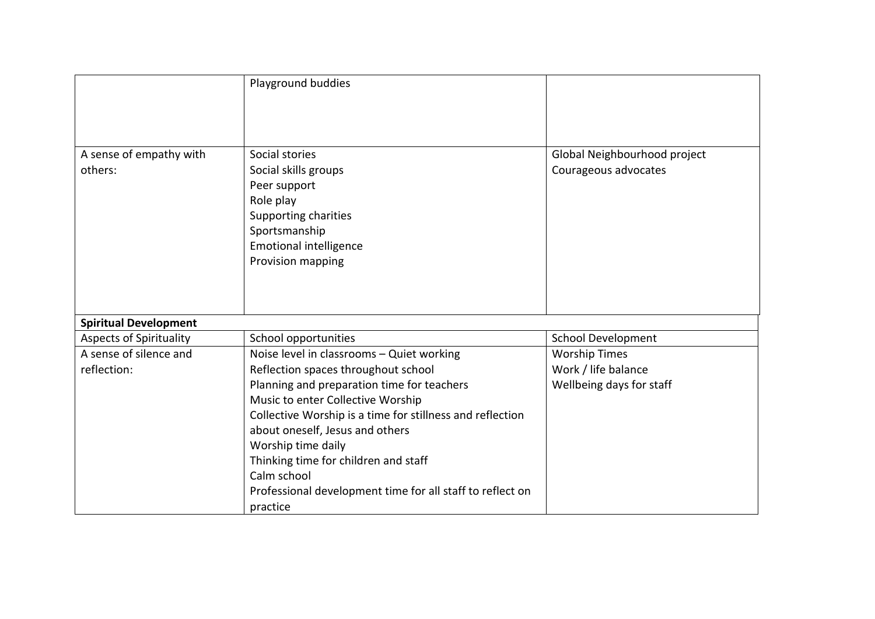|                                    | Playground buddies                                                                                                                                                                                                                                                                                                                    |                                                      |
|------------------------------------|---------------------------------------------------------------------------------------------------------------------------------------------------------------------------------------------------------------------------------------------------------------------------------------------------------------------------------------|------------------------------------------------------|
| A sense of empathy with<br>others: | Social stories<br>Social skills groups<br>Peer support<br>Role play<br>Supporting charities<br>Sportsmanship<br><b>Emotional intelligence</b><br>Provision mapping                                                                                                                                                                    | Global Neighbourhood project<br>Courageous advocates |
| <b>Spiritual Development</b>       |                                                                                                                                                                                                                                                                                                                                       |                                                      |
| <b>Aspects of Spirituality</b>     | School opportunities                                                                                                                                                                                                                                                                                                                  | <b>School Development</b>                            |
| A sense of silence and             | Noise level in classrooms - Quiet working                                                                                                                                                                                                                                                                                             | <b>Worship Times</b>                                 |
| reflection:                        | Reflection spaces throughout school                                                                                                                                                                                                                                                                                                   | Work / life balance                                  |
|                                    | Planning and preparation time for teachers<br>Music to enter Collective Worship<br>Collective Worship is a time for stillness and reflection<br>about oneself, Jesus and others<br>Worship time daily<br>Thinking time for children and staff<br>Calm school<br>Professional development time for all staff to reflect on<br>practice | Wellbeing days for staff                             |